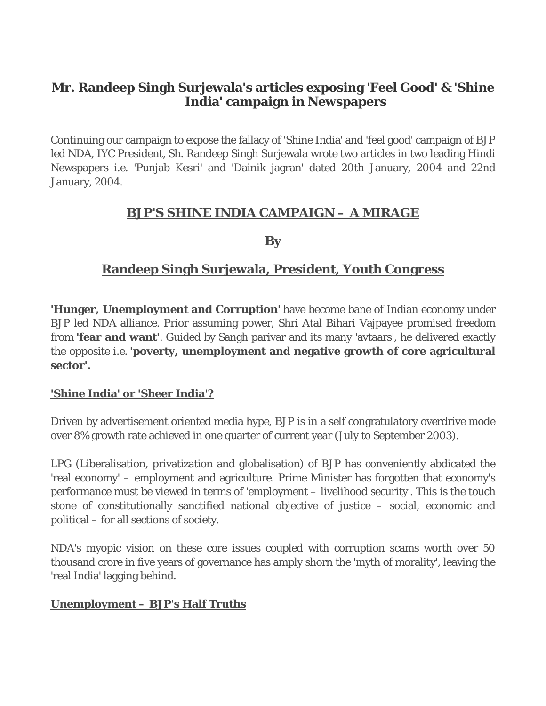# **Mr. Randeep Singh Surjewala's articles exposing 'Feel Good' & 'Shine India' campaign in Newspapers**

Continuing our campaign to expose the fallacy of 'Shine India' and 'feel good' campaign of BJP led NDA, IYC President, Sh. Randeep Singh Surjewala wrote two articles in two leading Hindi Newspapers i.e. 'Punjab Kesri' and 'Dainik jagran' dated 20th January, 2004 and 22nd January, 2004.

## **BJP'S SHINE INDIA CAMPAIGN – A MIRAGE**

### **By**

# **Randeep Singh Surjewala, President, Youth Congress**

**'Hunger, Unemployment and Corruption'** have become bane of Indian economy under BJP led NDA alliance. Prior assuming power, Shri Atal Bihari Vajpayee promised freedom from **'fear and want'**. Guided by Sangh parivar and its many 'avtaars', he delivered exactly the opposite i.e. **'poverty, unemployment and negative growth of core agricultural sector'.** 

#### **'Shine India' or 'Sheer India'?**

Driven by advertisement oriented media hype, BJP is in a self congratulatory overdrive mode over 8% growth rate achieved in one quarter of current year (July to September 2003).

LPG (Liberalisation, privatization and globalisation) of BJP has conveniently abdicated the 'real economy' – employment and agriculture. Prime Minister has forgotten that economy's performance must be viewed in terms of 'employment – livelihood security'. This is the touch stone of constitutionally sanctified national objective of justice – social, economic and political – for all sections of society.

NDA's myopic vision on these core issues coupled with corruption scams worth over 50 thousand crore in five years of governance has amply shorn the 'myth of morality', leaving the 'real India' lagging behind.

#### **Unemployment – BJP's Half Truths**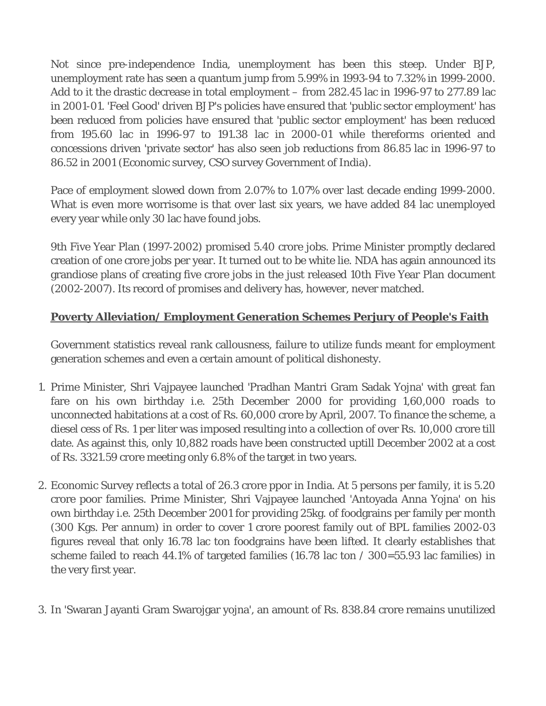Not since pre-independence India, unemployment has been this steep. Under BJP, unemployment rate has seen a quantum jump from 5.99% in 1993-94 to 7.32% in 1999-2000. Add to it the drastic decrease in total employment – from 282.45 lac in 1996-97 to 277.89 lac in 2001-01. 'Feel Good' driven BJP's policies have ensured that 'public sector employment' has been reduced from policies have ensured that 'public sector employment' has been reduced from 195.60 lac in 1996-97 to 191.38 lac in 2000-01 while thereforms oriented and concessions driven 'private sector' has also seen job reductions from 86.85 lac in 1996-97 to 86.52 in 2001 (Economic survey, CSO survey Government of India).

Pace of employment slowed down from 2.07% to 1.07% over last decade ending 1999-2000. What is even more worrisome is that over last six years, we have added 84 lac unemployed every year while only 30 lac have found jobs.

9th Five Year Plan (1997-2002) promised 5.40 crore jobs. Prime Minister promptly declared creation of one crore jobs per year. It turned out to be white lie. NDA has again announced its grandiose plans of creating five crore jobs in the just released 10th Five Year Plan document (2002-2007). Its record of promises and delivery has, however, never matched.

## **Poverty Alleviation/ Employment Generation Schemes Perjury of People's Faith**

Government statistics reveal rank callousness, failure to utilize funds meant for employment generation schemes and even a certain amount of political dishonesty.

- 1. Prime Minister, Shri Vajpayee launched 'Pradhan Mantri Gram Sadak Yojna' with great fan fare on his own birthday i.e. 25th December 2000 for providing 1,60,000 roads to unconnected habitations at a cost of Rs. 60,000 crore by April, 2007. To finance the scheme, a diesel cess of Rs. 1 per liter was imposed resulting into a collection of over Rs. 10,000 crore till date. As against this, only 10,882 roads have been constructed uptill December 2002 at a cost of Rs. 3321.59 crore meeting only 6.8% of the target in two years.
- 2. Economic Survey reflects a total of 26.3 crore ppor in India. At 5 persons per family, it is 5.20 crore poor families. Prime Minister, Shri Vajpayee launched 'Antoyada Anna Yojna' on his own birthday i.e. 25th December 2001 for providing 25kg. of foodgrains per family per month (300 Kgs. Per annum) in order to cover 1 crore poorest family out of BPL families 2002-03 figures reveal that only 16.78 lac ton foodgrains have been lifted. It clearly establishes that scheme failed to reach 44.1% of targeted families (16.78 lac ton / 300=55.93 lac families) in the very first year.
- 3. In 'Swaran Jayanti Gram Swarojgar yojna', an amount of Rs. 838.84 crore remains unutilized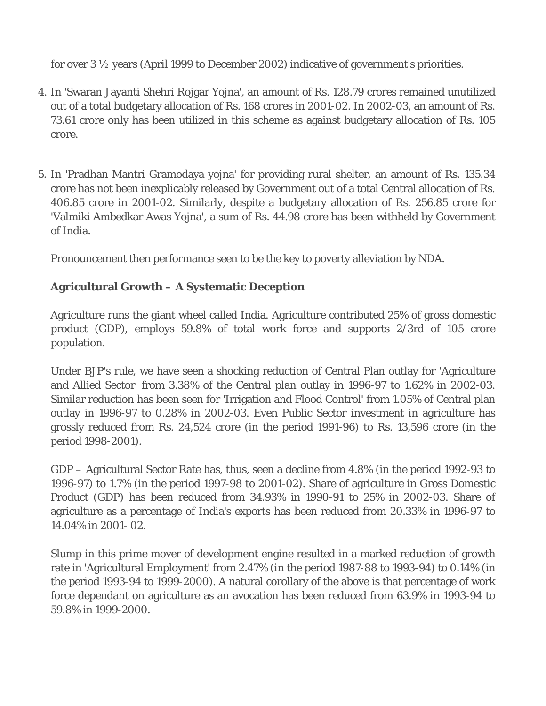for over 3 ½ years (April 1999 to December 2002) indicative of government's priorities.

- 4. In 'Swaran Jayanti Shehri Rojgar Yojna', an amount of Rs. 128.79 crores remained unutilized out of a total budgetary allocation of Rs. 168 crores in 2001-02. In 2002-03, an amount of Rs. 73.61 crore only has been utilized in this scheme as against budgetary allocation of Rs. 105 crore.
- 5. In 'Pradhan Mantri Gramodaya yojna' for providing rural shelter, an amount of Rs. 135.34 crore has not been inexplicably released by Government out of a total Central allocation of Rs. 406.85 crore in 2001-02. Similarly, despite a budgetary allocation of Rs. 256.85 crore for 'Valmiki Ambedkar Awas Yojna', a sum of Rs. 44.98 crore has been withheld by Government of India.

Pronouncement then performance seen to be the key to poverty alleviation by NDA.

### **Agricultural Growth – A Systematic Deception**

Agriculture runs the giant wheel called India. Agriculture contributed 25% of gross domestic product (GDP), employs 59.8% of total work force and supports 2/3rd of 105 crore population.

Under BJP's rule, we have seen a shocking reduction of Central Plan outlay for 'Agriculture and Allied Sector' from 3.38% of the Central plan outlay in 1996-97 to 1.62% in 2002-03. Similar reduction has been seen for 'Irrigation and Flood Control' from 1.05% of Central plan outlay in 1996-97 to 0.28% in 2002-03. Even Public Sector investment in agriculture has grossly reduced from Rs. 24,524 crore (in the period 1991-96) to Rs. 13,596 crore (in the period 1998-2001).

GDP – Agricultural Sector Rate has, thus, seen a decline from 4.8% (in the period 1992-93 to 1996-97) to 1.7% (in the period 1997-98 to 2001-02). Share of agriculture in Gross Domestic Product (GDP) has been reduced from 34.93% in 1990-91 to 25% in 2002-03. Share of agriculture as a percentage of India's exports has been reduced from 20.33% in 1996-97 to 14.04% in 2001- 02.

Slump in this prime mover of development engine resulted in a marked reduction of growth rate in 'Agricultural Employment' from 2.47% (in the period 1987-88 to 1993-94) to 0.14% (in the period 1993-94 to 1999-2000). A natural corollary of the above is that percentage of work force dependant on agriculture as an avocation has been reduced from 63.9% in 1993-94 to 59.8% in 1999-2000.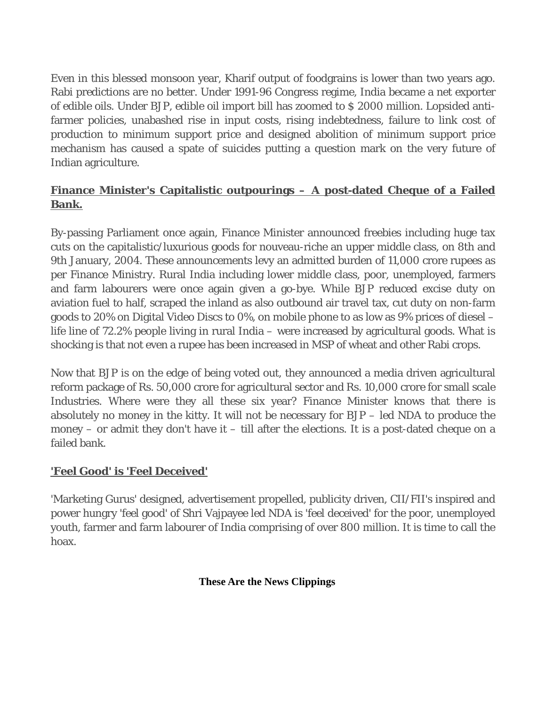Even in this blessed monsoon year, Kharif output of foodgrains is lower than two years ago. Rabi predictions are no better. Under 1991-96 Congress regime, India became a net exporter of edible oils. Under BJP, edible oil import bill has zoomed to \$ 2000 million. Lopsided antifarmer policies, unabashed rise in input costs, rising indebtedness, failure to link cost of production to minimum support price and designed abolition of minimum support price mechanism has caused a spate of suicides putting a question mark on the very future of Indian agriculture.

## **Finance Minister's Capitalistic outpourings – A post-dated Cheque of a Failed Bank.**

By-passing Parliament once again, Finance Minister announced freebies including huge tax cuts on the capitalistic/luxurious goods for nouveau-riche an upper middle class, on 8th and 9th January, 2004. These announcements levy an admitted burden of 11,000 crore rupees as per Finance Ministry. Rural India including lower middle class, poor, unemployed, farmers and farm labourers were once again given a go-bye. While BJP reduced excise duty on aviation fuel to half, scraped the inland as also outbound air travel tax, cut duty on non-farm goods to 20% on Digital Video Discs to 0%, on mobile phone to as low as 9% prices of diesel – life line of 72.2% people living in rural India – were increased by agricultural goods. What is shocking is that not even a rupee has been increased in MSP of wheat and other Rabi crops.

Now that BJP is on the edge of being voted out, they announced a media driven agricultural reform package of Rs. 50,000 crore for agricultural sector and Rs. 10,000 crore for small scale Industries. Where were they all these six year? Finance Minister knows that there is absolutely no money in the kitty. It will not be necessary for BJP – led NDA to produce the money – or admit they don't have it – till after the elections. It is a post-dated cheque on a failed bank.

#### **'Feel Good' is 'Feel Deceived'**

'Marketing Gurus' designed, advertisement propelled, publicity driven, CII/FII's inspired and power hungry 'feel good' of Shri Vajpayee led NDA is 'feel deceived' for the poor, unemployed youth, farmer and farm labourer of India comprising of over 800 million. It is time to call the hoax.

#### **These Are the News Clippings**